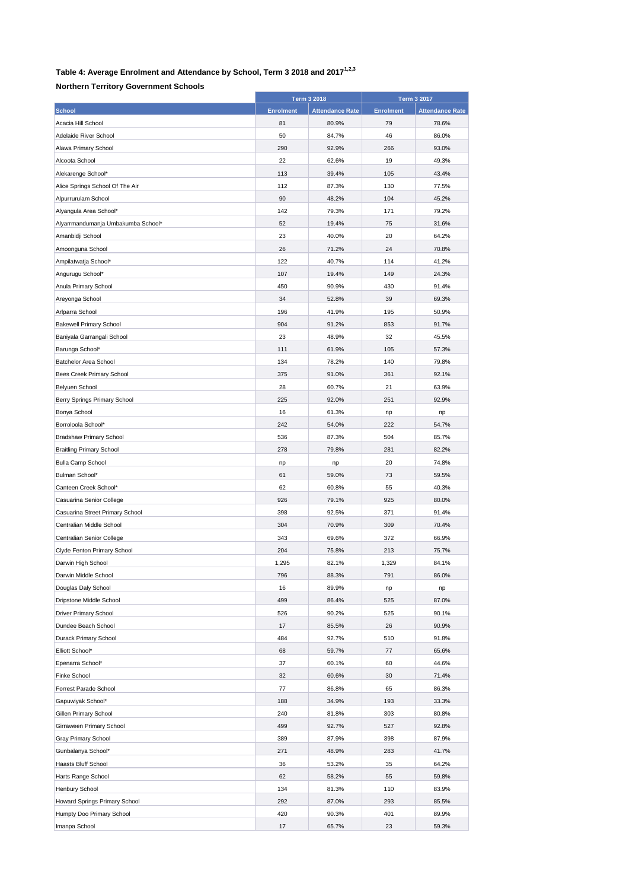## **Table 4: Average Enrolment and Attendance by School, Term 3 2018 and 20171,2,3**

## **Northern Territory Government Schools**

|                                    |                  | <b>Term 3 2018</b>     |                  | <b>Term 3 2017</b>     |
|------------------------------------|------------------|------------------------|------------------|------------------------|
| <b>School</b>                      | <b>Enrolment</b> | <b>Attendance Rate</b> | <b>Enrolment</b> | <b>Attendance Rate</b> |
| Acacia Hill School                 | 81               | 80.9%                  | 79               | 78.6%                  |
| Adelaide River School              | 50               | 84.7%                  | 46               | 86.0%                  |
| Alawa Primary School               | 290              | 92.9%                  | 266              | 93.0%                  |
| Alcoota School                     | 22               | 62.6%                  | 19               | 49.3%                  |
| Alekarenge School*                 | 113              | 39.4%                  | 105              | 43.4%                  |
| Alice Springs School Of The Air    | 112              | 87.3%                  | 130              | 77.5%                  |
| Alpurrurulam School                | 90               | 48.2%                  | 104              | 45.2%                  |
| Alyangula Area School*             | 142              | 79.3%                  | 171              | 79.2%                  |
| Alyarrmandumanja Umbakumba School* | 52               | 19.4%                  | 75               | 31.6%                  |
| Amanbidji School                   | 23               | 40.0%                  | 20               | 64.2%                  |
| Amoonguna School                   | 26               | 71.2%                  | 24               | 70.8%                  |
| Ampilatwatja School*               | 122              | 40.7%                  | 114              | 41.2%                  |
| Angurugu School*                   | 107              | 19.4%                  | 149              | 24.3%                  |
| Anula Primary School               | 450              | 90.9%                  | 430              | 91.4%                  |
| Areyonga School                    | 34               | 52.8%                  | 39               | 69.3%                  |
| Arlparra School                    | 196              | 41.9%                  | 195              | 50.9%                  |
|                                    | 904              | 91.2%                  | 853              | 91.7%                  |
| <b>Bakewell Primary School</b>     |                  |                        |                  |                        |
| Baniyala Garrangali School         | 23               | 48.9%                  | 32               | 45.5%<br>57.3%         |
| Barunga School*                    | 111              | 61.9%                  | 105              |                        |
| Batchelor Area School              | 134              | 78.2%                  | 140              | 79.8%                  |
| Bees Creek Primary School          | 375              | 91.0%                  | 361              | 92.1%                  |
| Belyuen School                     | 28               | 60.7%                  | 21               | 63.9%                  |
| Berry Springs Primary School       | 225              | 92.0%                  | 251              | 92.9%                  |
| Bonya School                       | 16               | 61.3%                  | np               | np                     |
| Borroloola School*                 | 242              | 54.0%                  | 222              | 54.7%                  |
| <b>Bradshaw Primary School</b>     | 536              | 87.3%                  | 504              | 85.7%                  |
| <b>Braitling Primary School</b>    | 278              | 79.8%                  | 281              | 82.2%                  |
| <b>Bulla Camp School</b>           | np               | np                     | 20               | 74.8%                  |
| Bulman School*                     | 61               | 59.0%                  | 73               | 59.5%                  |
| Canteen Creek School*              | 62               | 60.8%                  | 55               | 40.3%                  |
| Casuarina Senior College           | 926              | 79.1%                  | 925              | 80.0%                  |
| Casuarina Street Primary School    | 398              | 92.5%                  | 371              | 91.4%                  |
| Centralian Middle School           | 304              | 70.9%                  | 309              | 70.4%                  |
| Centralian Senior College          | 343              | 69.6%                  | 372              | 66.9%                  |
| Clyde Fenton Primary School        | 204              | 75.8%                  | 213              | 75.7%                  |
| Darwin High School                 | 1,295            | 82.1%                  | 1,329            | 84.1%                  |
| Darwin Middle School               | 796              | 88.3%                  | 791              | 86.0%                  |
| Douglas Daly School                | 16               | 89.9%                  | np               | np                     |
| Dripstone Middle School            | 499              | 86.4%                  | 525              | 87.0%                  |
| Driver Primary School              | 526              | 90.2%                  | 525              | 90.1%                  |
| Dundee Beach School                | 17               | 85.5%                  | 26               | 90.9%                  |
| Durack Primary School              | 484              | 92.7%                  | 510              | 91.8%                  |
| Elliott School*                    | 68               | 59.7%                  | 77               | 65.6%                  |
| Epenarra School*                   | 37               | 60.1%                  | 60               | 44.6%                  |
| Finke School                       | 32               | 60.6%                  | 30               | 71.4%                  |
| Forrest Parade School              | 77               | 86.8%                  | 65               | 86.3%                  |
| Gapuwiyak School*                  | 188              | 34.9%                  | 193              | 33.3%                  |
| Gillen Primary School              | 240              | 81.8%                  | 303              | 80.8%                  |
| Girraween Primary School           | 499              | 92.7%                  | 527              | 92.8%                  |
| Gray Primary School                | 389              | 87.9%                  | 398              | 87.9%                  |
| Gunbalanya School*                 | 271              | 48.9%                  | 283              | 41.7%                  |
| Haasts Bluff School                | 36               | 53.2%                  | 35               | 64.2%                  |
| Harts Range School                 | 62               | 58.2%                  | 55               | 59.8%                  |
| Henbury School                     | 134              | 81.3%                  | 110              | 83.9%                  |
| Howard Springs Primary School      | 292              | 87.0%                  | 293              | 85.5%                  |
| Humpty Doo Primary School          | 420              | 90.3%                  | 401              | 89.9%                  |
| Imanpa School                      | 17               | 65.7%                  | 23               | 59.3%                  |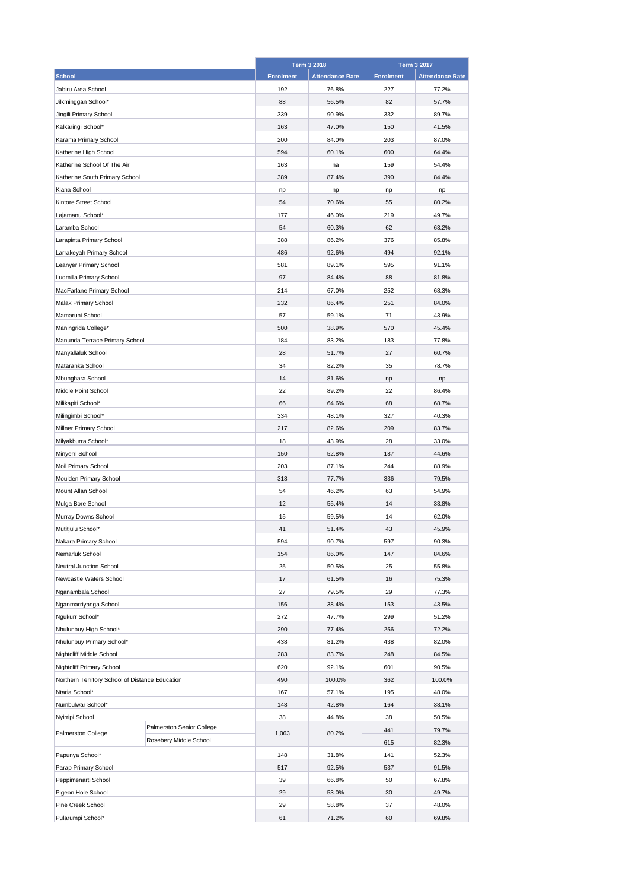|                                                 |                           |                  | <b>Term 3 2018</b>     |                  | <b>Term 3 2017</b>     |  |
|-------------------------------------------------|---------------------------|------------------|------------------------|------------------|------------------------|--|
| <b>School</b>                                   |                           | <b>Enrolment</b> | <b>Attendance Rate</b> | <b>Enrolment</b> | <b>Attendance Rate</b> |  |
| Jabiru Area School                              |                           | 192              | 76.8%                  | 227              | 77.2%                  |  |
| Jilkminggan School*                             |                           | 88               | 56.5%                  | 82               | 57.7%                  |  |
| Jingili Primary School                          |                           | 339              | 90.9%                  | 332              | 89.7%                  |  |
| Kalkaringi School*                              |                           | 163              | 47.0%                  | 150              | 41.5%                  |  |
| Karama Primary School                           |                           | 200              | 84.0%                  | 203              | 87.0%                  |  |
| Katherine High School                           |                           | 594              | 60.1%                  | 600              | 64.4%                  |  |
| Katherine School Of The Air                     |                           | 163              | na                     | 159              | 54.4%                  |  |
| Katherine South Primary School                  |                           | 389              | 87.4%                  | 390              | 84.4%                  |  |
| Kiana School                                    |                           | np               | np                     | np               | np                     |  |
| Kintore Street School                           |                           | 54               | 70.6%                  | 55               | 80.2%                  |  |
| Lajamanu School*                                |                           | 177              | 46.0%                  | 219              | 49.7%                  |  |
| Laramba School                                  |                           | 54               | 60.3%                  | 62               | 63.2%                  |  |
| Larapinta Primary School                        |                           | 388              | 86.2%                  | 376              | 85.8%                  |  |
|                                                 |                           | 486              | 92.6%                  | 494              |                        |  |
| Larrakeyah Primary School                       |                           |                  |                        |                  | 92.1%                  |  |
| Leanyer Primary School                          |                           | 581              | 89.1%                  | 595              | 91.1%                  |  |
| Ludmilla Primary School                         |                           | 97               | 84.4%                  | 88               | 81.8%                  |  |
| MacFarlane Primary School                       |                           | 214              | 67.0%                  | 252              | 68.3%                  |  |
| <b>Malak Primary School</b>                     |                           | 232              | 86.4%                  | 251              | 84.0%                  |  |
| Mamaruni School                                 |                           | 57               | 59.1%                  | 71               | 43.9%                  |  |
| Maningrida College*                             |                           | 500              | 38.9%                  | 570              | 45.4%                  |  |
| Manunda Terrace Primary School                  |                           | 184              | 83.2%                  | 183              | 77.8%                  |  |
| Manyallaluk School                              |                           | 28               | 51.7%                  | 27               | 60.7%                  |  |
| Mataranka School                                |                           | 34               | 82.2%                  | 35               | 78.7%                  |  |
| Mbunghara School                                |                           | 14               | 81.6%                  | np               | np                     |  |
| Middle Point School                             |                           | 22               | 89.2%                  | 22               | 86.4%                  |  |
| Milikapiti School*                              |                           | 66               | 64.6%                  | 68               | 68.7%                  |  |
| Milingimbi School*                              |                           | 334              | 48.1%                  | 327              | 40.3%                  |  |
| Millner Primary School                          |                           | 217              | 82.6%                  | 209              | 83.7%                  |  |
| Milyakburra School*                             |                           | 18               | 43.9%                  | 28               | 33.0%                  |  |
| Minyerri School                                 |                           | 150              | 52.8%                  | 187              | 44.6%                  |  |
| Moil Primary School                             |                           | 203              | 87.1%                  | 244              | 88.9%                  |  |
| Moulden Primary School                          |                           | 318              | 77.7%                  | 336              | 79.5%                  |  |
| Mount Allan School                              |                           | 54               | 46.2%                  | 63               | 54.9%                  |  |
| Mulga Bore School                               |                           | 12               | 55.4%                  | 14               | 33.8%                  |  |
| Murray Downs School                             |                           | 15               | 59.5%                  | 14               | 62.0%                  |  |
| Mutitjulu School*                               |                           | 41               | 51.4%                  | 43               | 45.9%                  |  |
| Nakara Primary School                           |                           | 594              | 90.7%                  | 597              | 90.3%                  |  |
| Nemarluk School                                 |                           | 154              | 86.0%                  | 147              | 84.6%                  |  |
| Neutral Junction School                         |                           | 25               | 50.5%                  | 25               | 55.8%                  |  |
| Newcastle Waters School                         |                           | 17               | 61.5%                  | 16               | 75.3%                  |  |
| Nganambala School                               |                           | 27               | 79.5%                  | 29               | 77.3%                  |  |
| Nganmarriyanga School                           |                           | 156              | 38.4%                  | 153              | 43.5%                  |  |
| Ngukurr School*                                 |                           | 272              | 47.7%                  | 299              | 51.2%                  |  |
| Nhulunbuy High School*                          |                           | 290              | 77.4%                  | 256              | 72.2%                  |  |
|                                                 |                           | 438              | 81.2%                  | 438              | 82.0%                  |  |
| Nhulunbuy Primary School*                       |                           | 283              | 83.7%                  | 248              | 84.5%                  |  |
| Nightcliff Middle School                        |                           | 620              | 92.1%                  | 601              | 90.5%                  |  |
| Nightcliff Primary School                       |                           |                  |                        |                  |                        |  |
| Northern Territory School of Distance Education |                           | 490              | 100.0%                 | 362              | 100.0%                 |  |
| Ntaria School*                                  |                           | 167              | 57.1%                  | 195              | 48.0%                  |  |
| Numbulwar School*                               |                           | 148              | 42.8%                  | 164              | 38.1%                  |  |
| Nyirripi School                                 | Palmerston Senior College | 38               | 44.8%                  | 38               | 50.5%                  |  |
| Palmerston College                              | Rosebery Middle School    | 1,063            | 80.2%                  | 441              | 79.7%                  |  |
|                                                 |                           |                  |                        | 615              | 82.3%                  |  |
| Papunya School*                                 |                           | 148              | 31.8%                  | 141              | 52.3%                  |  |
| Parap Primary School                            |                           | 517              | 92.5%                  | 537              | 91.5%                  |  |
| Peppimenarti School                             |                           | 39               | 66.8%                  | 50               | 67.8%                  |  |
| Pigeon Hole School                              |                           | 29               | 53.0%                  | 30               | 49.7%                  |  |
| Pine Creek School                               |                           | 29               | 58.8%                  | 37               | 48.0%                  |  |
| Pularumpi School*                               |                           | 61               | 71.2%                  | 60               | 69.8%                  |  |